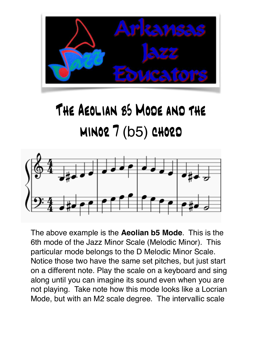

## The Aeolian b5 Mode and the minor 7 (b5) chord



The above example is the **Aeolian b5 Mode**. This is the 6th mode of the Jazz Minor Scale (Melodic Minor). This particular mode belongs to the D Melodic Minor Scale. Notice those two have the same set pitches, but just start on a different note. Play the scale on a keyboard and sing along until you can imagine its sound even when you are not playing. Take note how this mode looks like a Locrian Mode, but with an M2 scale degree. The intervallic scale